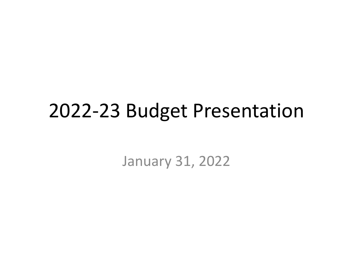#### 2022-23 Budget Presentation

January 31, 2022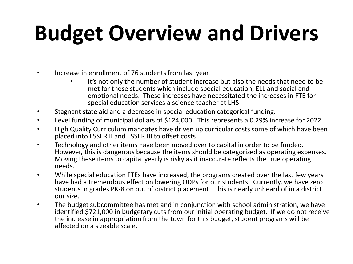# **Budget Overview and Drivers**

- Increase in enrollment of 76 students from last year.
	- It's not only the number of student increase but also the needs that need to be met for these students which include special education, ELL and social and emotional needs. These increases have necessitated the increases in FTE for special education services a science teacher at LHS
- Stagnant state aid and a decrease in special education categorical funding.
- Level funding of municipal dollars of \$124,000. This represents a 0.29% increase for 2022.
- High Quality Curriculum mandates have driven up curricular costs some of which have been placed into ESSER II and ESSER III to offset costs
- Technology and other items have been moved over to capital in order to be funded. However, this is dangerous because the items should be categorized as operating expenses. Moving these items to capital yearly is risky as it inaccurate reflects the true operating needs.
- While special education FTEs have increased, the programs created over the last few years have had a tremendous effect on lowering ODPs for our students. Currently, we have zero students in grades PK-8 on out of district placement. This is nearly unheard of in a district our size.
- The budget subcommittee has met and in conjunction with school administration, we have identified \$721,000 in budgetary cuts from our initial operating budget. If we do not receive the increase in appropriation from the town for this budget, student programs will be affected on a sizeable scale.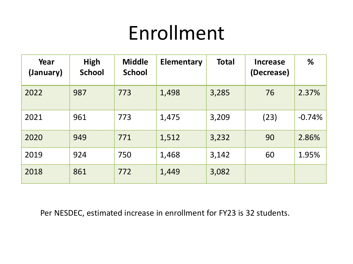# Enrollment

| Year<br>(January) | <b>High</b><br><b>School</b> | <b>Middle</b><br><b>School</b> | <b>Elementary</b> | <b>Total</b> | <b>Increase</b><br>(Decrease) | %        |
|-------------------|------------------------------|--------------------------------|-------------------|--------------|-------------------------------|----------|
| 2022              | 987                          | 773                            | 1,498             | 3,285        | 76                            | 2.37%    |
| 2021              | 961                          | 773                            | 1,475             | 3,209        | (23)                          | $-0.74%$ |
| 2020              | 949                          | 771                            | 1,512             | 3,232        | 90                            | 2.86%    |
| 2019              | 924                          | 750                            | 1,468             | 3,142        | 60                            | 1.95%    |
| 2018              | 861                          | 772                            | 1,449             | 3,082        |                               |          |

Per NESDEC, estimated increase in enrollment for FY23 is 32 students.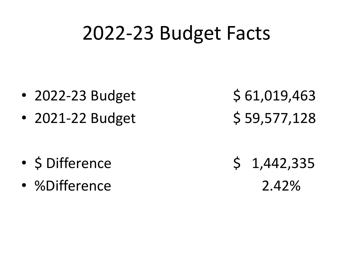# 2022-23 Budget Facts

- 2022-23 Budget  $$61,019,463$
- 2021-22 Budget  $\binom{5}{59,577,128}$

- $\frac{1}{42,335}$   $\frac{1}{42,335}$
- %Difference 2.42%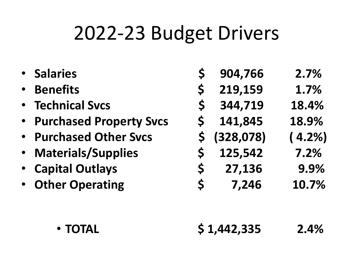# 2022-23 Budget Drivers

- 
- 
- 
- **Purchased Property Svcs \$ 141,845 18.9%**
- **Purchased Other Svcs \$ (328,078) ( 4.2%)**
- 
- 
- 
- **Salaries \$ 904,766 2.7%**
	- **Benefits \$ 219,159 1.7%**
- **Technical Svcs \$ 344,719 18.4%**
	-
	-
- **Materials/Supplies \$ 125,542 7.2%**
	- **Capital Outlays \$ 27,136 9.9%**
- **Other Operating \$ 7,246 10.7%**

- **TOTAL \$ 1,442,335 2.4%**
-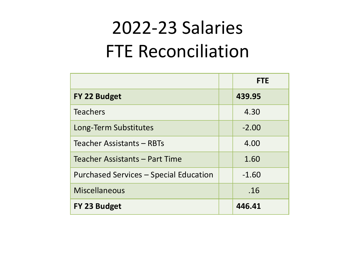### 2022-23 Salaries FTE Reconciliation

|                                        | <b>FTE</b> |
|----------------------------------------|------------|
| FY 22 Budget                           | 439.95     |
| <b>Teachers</b>                        | 4.30       |
| Long-Term Substitutes                  | $-2.00$    |
| Teacher Assistants - RBTs              | 4.00       |
| Teacher Assistants - Part Time         | 1.60       |
| Purchased Services - Special Education | $-1.60$    |
| <b>Miscellaneous</b>                   | .16        |
| FY 23 Budget                           | 446.41     |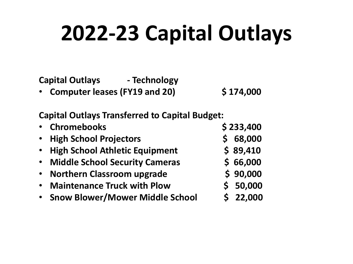# **2022-23 Capital Outlays**

**Capital Outlays - Technology**

• **Computer leases (FY19 and 20) \$ 174,000**

**Capital Outlays Transferred to Capital Budget:**

|           | • Chromebooks                         | \$233,400 |
|-----------|---------------------------------------|-----------|
|           | • High School Projectors              | 68,000    |
| $\bullet$ | <b>High School Athletic Equipment</b> | \$89,410  |
| $\bullet$ | <b>Middle School Security Cameras</b> | \$66,000  |
| $\bullet$ | <b>Northern Classroom upgrade</b>     | \$90,000  |
| $\bullet$ | <b>Maintenance Truck with Plow</b>    | \$50,000  |
|           | · Snow Blower/Mower Middle School     | \$22,000  |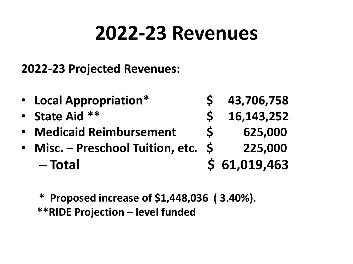# **2022-23 Revenues**

#### **2022-23 Projected Revenues:**

- **Local Appropriation\* \$ 43,706,758**
- **State Aid \*\* \$ 16,143,252**
- **Medicaid Reimbursement \$ 625,000**
- **Misc. – Preschool Tuition, etc. \$ 225,000** – **Total \$ 61,019,463**
- -
	- **\* Proposed increase of \$1,448,036 ( 3.40%). \*\*RIDE Projection – level funded**